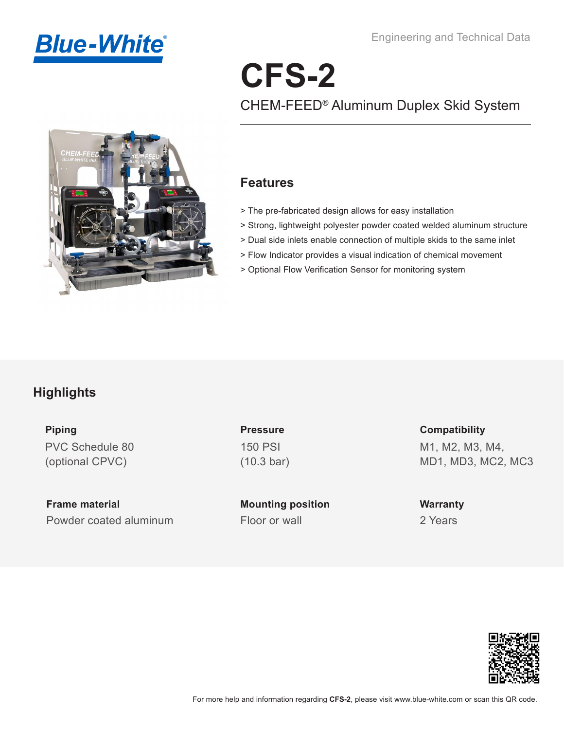

Engineering and Technical Data

# **CFS-2** CHEM-FEED® Aluminum Duplex Skid System



#### **Features**

- > The pre-fabricated design allows for easy installation
- > Strong, lightweight polyester powder coated welded aluminum structure
- > Dual side inlets enable connection of multiple skids to the same inlet
- > Flow Indicator provides a visual indication of chemical movement
- > Optional Flow Verification Sensor for monitoring system

## **Highlights**

**Piping**  PVC Schedule 80 (optional CPVC)

**Frame material** Powder coated aluminum Floor or wall

**Pressure** 150 PSI (10.3 bar)

**Mounting position**

**Compatibility** M1, M2, M3, M4, MD1, MD3, MC2, MC3

**Warranty** 2 Years

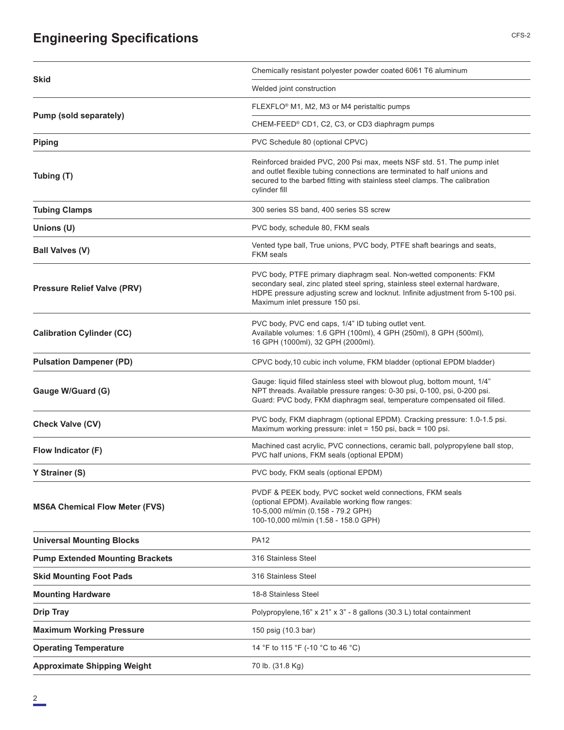# **Engineering Specifications** CFS-2

| <b>Skid</b>                            | Chemically resistant polyester powder coated 6061 T6 aluminum                                                                                                                                                                                                          |  |  |
|----------------------------------------|------------------------------------------------------------------------------------------------------------------------------------------------------------------------------------------------------------------------------------------------------------------------|--|--|
|                                        | Welded joint construction                                                                                                                                                                                                                                              |  |  |
|                                        | FLEXFLO <sup>®</sup> M1, M2, M3 or M4 peristaltic pumps                                                                                                                                                                                                                |  |  |
| Pump (sold separately)                 | CHEM-FEED® CD1, C2, C3, or CD3 diaphragm pumps                                                                                                                                                                                                                         |  |  |
| <b>Piping</b>                          | PVC Schedule 80 (optional CPVC)                                                                                                                                                                                                                                        |  |  |
| Tubing (T)                             | Reinforced braided PVC, 200 Psi max, meets NSF std. 51. The pump inlet<br>and outlet flexible tubing connections are terminated to half unions and<br>secured to the barbed fitting with stainless steel clamps. The calibration<br>cylinder fill                      |  |  |
| <b>Tubing Clamps</b>                   | 300 series SS band, 400 series SS screw                                                                                                                                                                                                                                |  |  |
| Unions (U)                             | PVC body, schedule 80, FKM seals                                                                                                                                                                                                                                       |  |  |
| <b>Ball Valves (V)</b>                 | Vented type ball, True unions, PVC body, PTFE shaft bearings and seats,<br><b>FKM</b> seals                                                                                                                                                                            |  |  |
| <b>Pressure Relief Valve (PRV)</b>     | PVC body, PTFE primary diaphragm seal. Non-wetted components: FKM<br>secondary seal, zinc plated steel spring, stainless steel external hardware,<br>HDPE pressure adjusting screw and locknut. Infinite adjustment from 5-100 psi.<br>Maximum inlet pressure 150 psi. |  |  |
| <b>Calibration Cylinder (CC)</b>       | PVC body, PVC end caps, 1/4" ID tubing outlet vent.<br>Available volumes: 1.6 GPH (100ml), 4 GPH (250ml), 8 GPH (500ml),<br>16 GPH (1000ml), 32 GPH (2000ml).                                                                                                          |  |  |
| <b>Pulsation Dampener (PD)</b>         | CPVC body, 10 cubic inch volume, FKM bladder (optional EPDM bladder)                                                                                                                                                                                                   |  |  |
| Gauge W/Guard (G)                      | Gauge: liquid filled stainless steel with blowout plug, bottom mount, 1/4"<br>NPT threads. Available pressure ranges: 0-30 psi, 0-100, psi, 0-200 psi.<br>Guard: PVC body, FKM diaphragm seal, temperature compensated oil filled.                                     |  |  |
| Check Valve (CV)                       | PVC body, FKM diaphragm (optional EPDM). Cracking pressure: 1.0-1.5 psi.<br>Maximum working pressure: inlet = 150 psi, back = 100 psi.                                                                                                                                 |  |  |
| Flow Indicator (F)                     | Machined cast acrylic, PVC connections, ceramic ball, polypropylene ball stop,<br>PVC half unions, FKM seals (optional EPDM)                                                                                                                                           |  |  |
| Y Strainer (S)                         | PVC body, FKM seals (optional EPDM)                                                                                                                                                                                                                                    |  |  |
| <b>MS6A Chemical Flow Meter (FVS)</b>  | PVDF & PEEK body, PVC socket weld connections, FKM seals<br>(optional EPDM). Available working flow ranges:<br>10-5,000 ml/min (0.158 - 79.2 GPH)<br>100-10,000 ml/min (1.58 - 158.0 GPH)                                                                              |  |  |
| <b>Universal Mounting Blocks</b>       | <b>PA12</b>                                                                                                                                                                                                                                                            |  |  |
| <b>Pump Extended Mounting Brackets</b> | 316 Stainless Steel                                                                                                                                                                                                                                                    |  |  |
| <b>Skid Mounting Foot Pads</b>         | 316 Stainless Steel                                                                                                                                                                                                                                                    |  |  |
| <b>Mounting Hardware</b>               | 18-8 Stainless Steel                                                                                                                                                                                                                                                   |  |  |
| <b>Drip Tray</b>                       | Polypropylene, 16" x 21" x 3" - 8 gallons (30.3 L) total containment                                                                                                                                                                                                   |  |  |
| <b>Maximum Working Pressure</b>        | 150 psig (10.3 bar)                                                                                                                                                                                                                                                    |  |  |
| <b>Operating Temperature</b>           | 14 °F to 115 °F (-10 °C to 46 °C)                                                                                                                                                                                                                                      |  |  |
| <b>Approximate Shipping Weight</b>     | 70 lb. (31.8 Kg)                                                                                                                                                                                                                                                       |  |  |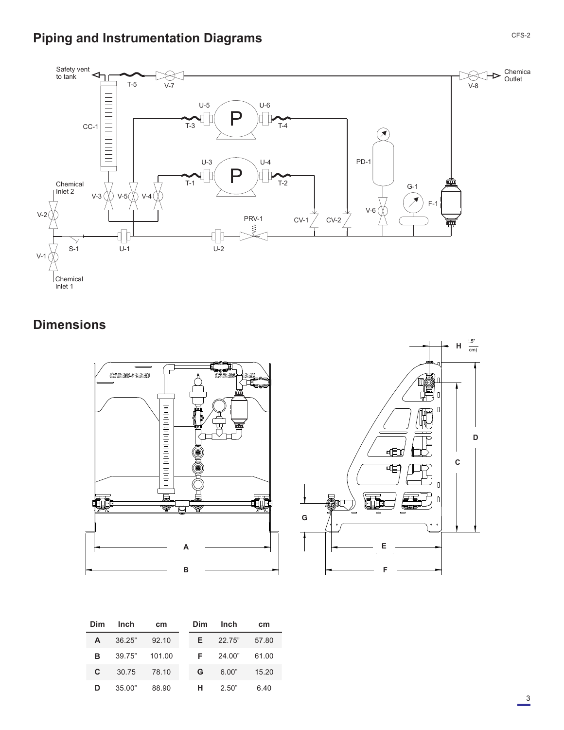# **Piping and Instrumentation Diagrams**



# **Dimensions**





| Dim | Inch   | cm     | Dim | Inch   | cm    |
|-----|--------|--------|-----|--------|-------|
| A   | 36.25" | 92.10  | F.  | 22.75" | 57.80 |
| в   | 39.75" | 101.00 | F.  | 24.00" | 61.00 |
| C.  | 30.75  | 78.10  | G   | 6.00"  | 15.20 |
| D   | 35.00" | 88.90  | н   | 2.50"  | 6.40  |